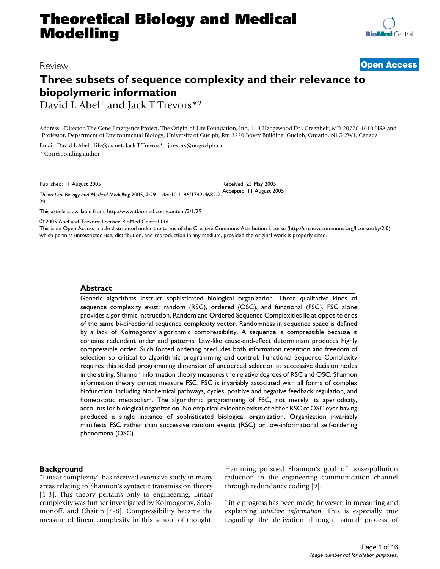# Review **[Open Access](http://www.biomedcentral.com/info/about/charter/)**

**[BioMed](http://www.biomedcentral.com/)** Central

# **Three subsets of sequence complexity and their relevance to biopolymeric information** David L Abel<sup>1</sup> and Jack T Trevors<sup>\*2</sup>

Address: <sup>1</sup>Director, The Gene Emergence Project, The Origin-of-Life Foundation, Inc., 113 Hedgewood Dr., Greenbelt, MD 20770-1610 USA and <sup>2</sup>Professor, Department of Environmental Biology, University of Guelph, Rm 3220 Bo

Email: David L Abel - life@us.net; Jack T Trevors\* - jtrevors@uoguelph.ca

\* Corresponding author

Published: 11 August 2005

*Theoretical Biology and Medical Modelling* 2005, **2**:29 doi:10.1186/1742-4682-2- Accepted: 11 August 2005 29 Received: 23 May 2005

[This article is available from: http://www.tbiomed.com/content/2/1/29](http://www.tbiomed.com/content/2/1/29)

© 2005 Abel and Trevors; licensee BioMed Central Ltd.

This is an Open Access article distributed under the terms of the Creative Commons Attribution License [\(http://creativecommons.org/licenses/by/2.0\)](http://creativecommons.org/licenses/by/2.0), which permits unrestricted use, distribution, and reproduction in any medium, provided the original work is properly cited.

#### **Abstract**

Genetic algorithms instruct sophisticated biological organization. Three qualitative kinds of sequence complexity exist: random (RSC), ordered (OSC), and functional (FSC). FSC alone provides algorithmic instruction. Random and Ordered Sequence Complexities lie at opposite ends of the same bi-directional sequence complexity vector. Randomness in sequence space is defined by a lack of Kolmogorov algorithmic compressibility. A sequence is compressible because it contains redundant order and patterns. Law-like cause-and-effect determinism produces highly compressible order. Such forced ordering precludes both information retention and freedom of selection so critical to algorithmic programming and control. Functional Sequence Complexity requires this added programming dimension of uncoerced selection at successive decision nodes in the string. Shannon information theory measures the relative degrees of RSC and OSC. Shannon information theory cannot measure FSC. FSC is invariably associated with all forms of complex biofunction, including biochemical pathways, cycles, positive and negative feedback regulation, and homeostatic metabolism. The algorithmic programming of FSC, not merely its aperiodicity, accounts for biological organization. No empirical evidence exists of either RSC of OSC ever having produced a single instance of sophisticated biological organization. Organization invariably manifests FSC rather than successive random events (RSC) or low-informational self-ordering phenomena (OSC).

#### **Background**

"Linear complexity" has received extensive study in many areas relating to Shannon's syntactic transmission theory [1-3]. This theory pertains only to engineering. Linear complexity was further investigated by Kolmogorov, Solomonoff, and Chaitin [4-8]. Compressibility became the measure of linear complexity in this school of thought. Hamming pursued Shannon's goal of noise-pollution reduction in the engineering communication channel through redundancy coding [9].

Little progress has been made, however, in measuring and explaining *intuitive information*. This is especially true regarding the derivation through natural process of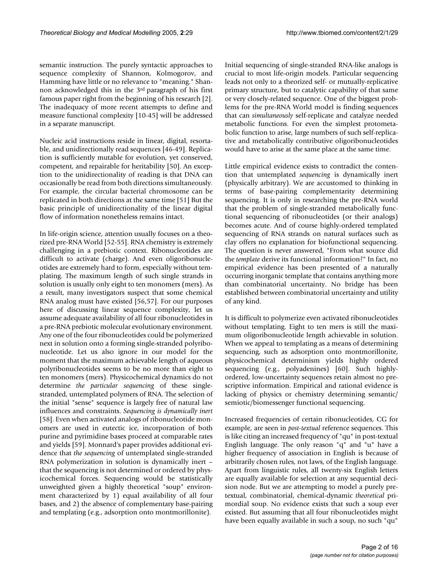semantic instruction. The purely syntactic approaches to sequence complexity of Shannon, Kolmogorov, and Hamming have little or no relevance to "meaning." Shannon acknowledged this in the 3rd paragraph of his first famous paper right from the beginning of his research [2]. The inadequacy of more recent attempts to define and measure functional complexity [10-45] will be addressed in a separate manuscript.

Nucleic acid instructions reside in linear, digital, resortable, and unidirectionally read sequences [46-49]. Replication is sufficiently mutable for evolution, yet conserved, competent, and repairable for heritability [50]. An exception to the unidirectionality of reading is that DNA can occasionally be read from both directions simultaneously. For example, the circular bacterial chromosome can be replicated in both directions at the same time [51] But the basic principle of unidirectionality of the linear digital flow of information nonetheless remains intact.

In life-origin science, attention usually focuses on a theorized pre-RNA World [52-55]. RNA chemistry is extremely challenging in a prebiotic context. Ribonucleotides are difficult to activate (charge). And even oligoribonucleotides are extremely hard to form, especially without templating. The maximum length of such single strands in solution is usually only eight to ten monomers (mers). As a result, many investigators suspect that some chemical RNA analog must have existed [56,57]. For our purposes here of discussing linear sequence complexity, let us assume adequate availability of all four ribonucleotides in a pre-RNA prebiotic molecular evolutionary environment. Any one of the four ribonucleotides could be polymerized next in solution onto a forming single-stranded polyribonucleotide. Let us also ignore in our model for the moment that the maximum achievable length of aqueous polyribonucleotides seems to be no more than eight to ten monomers (mers). Physicochemical dynamics do not determine *the particular sequencing* of these singlestranded, untemplated polymers of RNA. The selection of the initial "sense" sequence is largely free of natural law influences and constraints. *Sequencing is dynamically inert* [58]. Even when activated analogs of ribonucleotide monomers are used in eutectic ice, incorporation of both purine and pyrimidine bases proceed at comparable rates and yields [59]. Monnard's paper provides additional evidence that *the sequencing* of untemplated single-stranded RNA polymerization in solution is dynamically inert – that the sequencing is not determined or ordered by physicochemical forces. Sequencing would be statistically unweighted given a highly theoretical "soup" environment characterized by 1) equal availability of all four bases, and 2) the absence of complementary base-pairing and templating (e.g., adsorption onto montmorillonite).

Initial sequencing of single-stranded RNA-like analogs is crucial to most life-origin models. Particular sequencing leads not only to a theorized self- or mutually-replicative primary structure, but to catalytic capability of that same or very closely-related sequence. One of the biggest problems for the pre-RNA World model is finding sequences that can *simultaneously* self-replicate and catalyze needed metabolic functions. For even the simplest protometabolic function to arise, large numbers of such self-replicative and metabolically contributive oligoribonucleotides would have to arise at the same place at the same time.

Little empirical evidence exists to contradict the contention that untemplated *sequencing* is dynamically inert (physically arbitrary). We are accustomed to thinking in terms of base-pairing complementarity determining sequencing. It is only in researching the pre-RNA world that the problem of single-stranded metabolically functional sequencing of ribonucleotides (or their analogs) becomes acute. And of course highly-ordered templated sequencing of RNA strands on natural surfaces such as clay offers no explanation for biofunctional sequencing. The question is never answered, "From what source did the *template* derive its functional information?" In fact, no empirical evidence has been presented of a naturally occurring inorganic template that contains anything more than combinatorial uncertainty. No bridge has been established between combinatorial uncertainty and utility of any kind.

It is difficult to polymerize even activated ribonucleotides without templating. Eight to ten mers is still the maximum oligoribonucleotide length achievable in solution. When we appeal to templating as a means of determining sequencing, such as adsorption onto montmorillonite, physicochemical determinism yields highly ordered sequencing (e.g., polyadenines) [60]. Such highlyordered, low-uncertainty sequences retain almost no prescriptive information. Empirical and rational evidence is lacking of physics or chemistry determining semantic/ semiotic/biomessenger functional sequencing.

Increased frequencies of certain ribonucleotides, CG for example, are seen in *post-textual* reference sequences. This is like citing an increased frequency of "qu" in post-textual English language. The only reason "q" and "u" have a higher frequency of association in English is because of arbitrarily chosen rules, not laws, of the English language. Apart from linguistic rules, all twenty-six English letters are equally available for selection at any sequential decision node. But we are attempting to model a purely pretextual, combinatorial, chemical-dynamic *theoretical* primordial soup. No evidence exists that such a soup ever existed. But assuming that all four ribonucleotides might have been equally available in such a soup, no such "qu"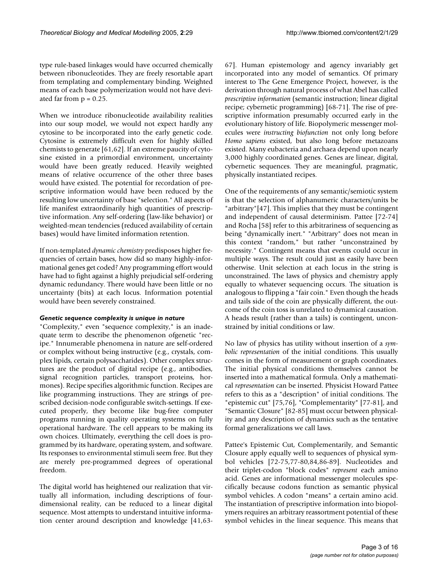type rule-based linkages would have occurred chemically between ribonucleotides. They are freely resortable apart from templating and complementary binding. Weighted means of each base polymerization would not have deviated far from  $p = 0.25$ .

When we introduce ribonucleotide availability realities into our soup model, we would not expect hardly any cytosine to be incorporated into the early genetic code. Cytosine is extremely difficult even for highly skilled chemists to generate [61,62]. If an extreme paucity of cytosine existed in a primordial environment, uncertainty would have been greatly reduced. Heavily weighted means of relative occurrence of the other three bases would have existed. The potential for recordation of prescriptive information would have been reduced by the resulting low uncertainty of base "selection." All aspects of life manifest extraordinarily high quantities of prescriptive information. Any self-ordering (law-like behavior) or weighted-mean tendencies (reduced availability of certain bases) would have limited information retention.

If non-templated *dynamic chemistry* predisposes higher frequencies of certain bases, how did so many highly-informational genes get coded? Any programming effort would have had to fight against a highly prejudicial self-ordering dynamic redundancy. There would have been little or no uncertainty (bits) at each locus. Information potential would have been severely constrained.

#### *Genetic sequence complexity is unique in nature*

"Complexity," even "sequence complexity," is an inadequate term to describe the phenomenon ofgenetic "recipe." Innumerable phenomena in nature are self-ordered or complex without being instructive (e.g., crystals, complex lipids, certain polysaccharides). Other complex structures are the product of digital recipe (e.g., antibodies, signal recognition particles, transport proteins, hormones). Recipe specifies algorithmic function. Recipes are like programming instructions. They are strings of prescribed decision-node configurable switch-settings. If executed properly, they become like bug-free computer programs running in quality operating systems on fully operational hardware. The cell appears to be making its own choices. Ultimately, everything the cell does is programmed by its hardware, operating system, and software. Its responses to environmental stimuli seem free. But they are merely pre-programmed degrees of operational freedom.

The digital world has heightened our realization that virtually all information, including descriptions of fourdimensional reality, can be reduced to a linear digital sequence. Most attempts to understand intuitive information center around description and knowledge [41,6367]. Human epistemology and agency invariably get incorporated into any model of semantics. Of primary interest to The Gene Emergence Project, however, is the derivation through natural process of what Abel has called *prescriptive information* (semantic instruction; linear digital recipe; cybernetic programming) [68-71]. The rise of prescriptive information presumably occurred early in the evolutionary history of life. Biopolymeric messenger molecules were *instructing biofunction* not only long before *Homo sapiens* existed, but also long before metazoans existed. Many eubacteria and archaea depend upon nearly 3,000 highly coordinated genes. Genes are linear, digital, cybernetic sequences. They are meaningful, pragmatic, physically instantiated recipes.

One of the requirements of any semantic/semiotic system is that the selection of alphanumeric characters/units be "arbitrary"[47]. This implies that they must be contingent and independent of causal determinism. Pattee [72-74] and Rocha [58] refer to this arbitrariness of sequencing as being "dynamically inert." "Arbitrary" does not mean in this context "random," but rather "unconstrained by necessity." Contingent means that events could occur in multiple ways. The result could just as easily have been otherwise. Unit selection at each locus in the string is unconstrained. The laws of physics and chemistry apply equally to whatever sequencing occurs. The situation is analogous to flipping a "fair coin." Even though the heads and tails side of the coin are physically different, the outcome of the coin toss is unrelated to dynamical causation. A heads result (rather than a tails) is contingent, unconstrained by initial conditions or law.

No law of physics has utility without insertion of a *symbolic representation* of the initial conditions. This usually comes in the form of measurement or graph coordinates. The initial physical conditions themselves cannot be inserted into a mathematical formula. Only a mathematical *representation* can be inserted. Physicist Howard Pattee refers to this as a "description" of initial conditions. The "epistemic cut" [75,76], "Complementarity" [77-81], and "Semantic Closure" [82-85] must occur between physicality and any description of dynamics such as the tentative formal generalizations we call laws.

Pattee's Epistemic Cut, Complementarily, and Semantic Closure apply equally well to sequences of physical symbol vehicles [72-75,77-80,84,86-89]. Nucleotides and their triplet-codon "block codes" *represent* each amino acid. Genes are informational messenger molecules specifically because codons function as semantic physical symbol vehicles. A codon "means" a certain amino acid. The instantiation of prescriptive information into biopolymers requires an arbitrary reassortment potential of these symbol vehicles in the linear sequence. This means that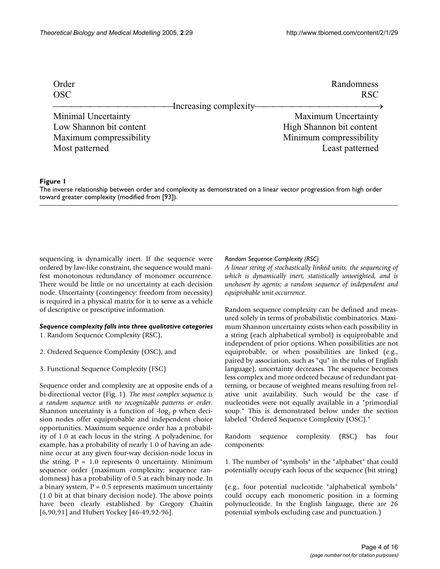| Order<br><b>OSC</b>     |                        | Randomness<br><b>RSC</b>   |
|-------------------------|------------------------|----------------------------|
|                         | Increasing complexity- |                            |
| Minimal Uncertainty     |                        | <b>Maximum Uncertainty</b> |
| Low Shannon bit content |                        | High Shannon bit content   |
| Maximum compressibility |                        | Minimum compressibility    |
| Most patterned          |                        | Least patterned            |
|                         |                        |                            |

The inverse relationship between order an toward greater complexi **Figure 1** ty (modified from [93]) d complexity as demonstrated on a linear vector progression from high order

The inverse relationship between order and complexity as demonstrated on a linear vector progression from high order toward greater complexity (modified from [93]).

sequencing is dynamically inert. If the sequence were ordered by law-like constraint, the sequence would manifest monotonous redundancy of monomer occurrence. There would be little or no uncertainty at each decision node. Uncertainty (contingency: freedom from necessity) is required in a physical matrix for it to serve as a vehicle of descriptive or prescriptive information.

## *Sequence complexity falls into three qualitative categories*

- 1. Random Sequence Complexity (RSC),
- 2. Ordered Sequence Complexity (OSC), and
- 3. Functional Sequence Complexity (FSC)

Sequence order and complexity are at opposite ends of a bi-directional vector (Fig. 1). *The most complex sequence is a random sequence with no recognizable patterns or order*. Shannon uncertainty is a function of  $-log_2 p$  when decision nodes offer equiprobable and independent choice opportunities. Maximum sequence order has a probability of 1.0 at each locus in the string. A polyadenine, for example, has a probability of nearly 1.0 of having an adenine occur at any given four-way decision-node locus in the string.  $P = 1.0$  represents 0 uncertainty. Minimum sequence order (maximum complexity; sequence randomness) has a probability of 0.5 at each binary node. In a binary system,  $P = 0.5$  represents maximum uncertainty (1.0 bit at that binary decision node). The above points have been clearly established by Gregory Chaitin [6,90,91] and Hubert Yockey [46-49,92-96].

#### *Random Sequence Complexity (RSC)*

*A linear string of stochastically linked units, the sequencing of which is dynamically inert, statistically unweighted, and is unchosen by agents; a random sequence of independent and equiprobable unit occurrence*.

Random sequence complexity can be defined and measured solely in terms of probabilistic combinatorics. Maximum Shannon uncertainty exists when each possibility in a string (each alphabetical symbol) is equiprobable and independent of prior options. When possibilities are not equiprobable, or when possibilities are linked (e.g., paired by association, such as "qu" in the rules of English language), uncertainty decreases. The sequence becomes less complex and more ordered because of redundant patterning, or because of weighted means resulting from relative unit availability. Such would be the case if nucleotides were not equally available in a "primordial soup." This is demonstrated below under the section labeled "Ordered Sequence Complexity (OSC)."

Random sequence complexity (RSC) has four components:

1. The number of "symbols" in the "alphabet" that could potentially occupy each locus of the sequence (bit string)

(e.g., four potential nucleotide "alphabetical symbols" could occupy each monomeric position in a forming polynucleotide. In the English language, there are 26 potential symbols excluding case and punctuation.)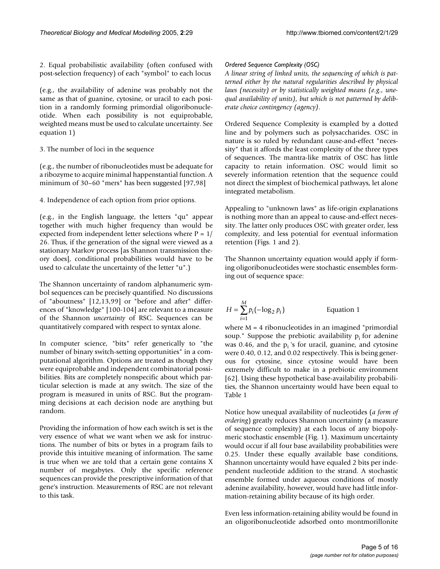2. Equal probabilistic availability (often confused with post-selection frequency) of each "symbol" to each locus

(e.g., the availability of adenine was probably not the same as that of guanine, cytosine, or uracil to each position in a randomly forming primordial oligoribonucleotide. When each possibility is not equiprobable, weighted means must be used to calculate uncertainty. See equation 1)

3. The number of loci in the sequence

(e.g., the number of ribonucleotides must be adequate for a ribozyme to acquire minimal happenstantial function. A minimum of 30–60 "mers" has been suggested [97,98]

4. Independence of each option from prior options.

(e.g., in the English language, the letters "qu" appear together with much higher frequency than would be expected from independent letter selections where  $P = 1/$ 26. Thus, if the generation of the signal were viewed as a stationary Markov process [as Shannon transmission theory does], conditional probabilities would have to be used to calculate the uncertainty of the letter "u".)

The Shannon uncertainty of random alphanumeric symbol sequences can be precisely quantified. No discussions of "aboutness" [12,13,99] or "before and after" differences of "knowledge" [100-104] are relevant to a measure of the Shannon *uncertainty* of RSC. Sequences can be quantitatively compared with respect to syntax alone.

In computer science, "bits" refer generically to "the number of binary switch-setting opportunities" in a computational algorithm. Options are treated as though they were equiprobable and independent combinatorial possibilities. Bits are completely nonspecific about which particular selection is made at any switch. The size of the program is measured in units of RSC. But the programming decisions at each decision node are anything but random.

Providing the information of how each switch is set is the very essence of what we want when we ask for instructions. The number of bits or bytes in a program fails to provide this intuitive meaning of information. The same is true when we are told that a certain gene contains X number of megabytes. Only the specific reference sequences can provide the prescriptive information of that gene's instruction. Measurements of RSC are not relevant to this task.

*Ordered Sequence Complexity (OSC)*

*A linear string of linked units, the sequencing of which is patterned either by the natural regularities described by physical laws (necessity) or by statistically weighted means (e.g., unequal availability of units), but which is not patterned by deliberate choice contingency (agency)*.

Ordered Sequence Complexity is exampled by a dotted line and by polymers such as polysaccharides. OSC in nature is so ruled by redundant cause-and-effect "necessity" that it affords the least complexity of the three types of sequences. The mantra-like matrix of OSC has little capacity to retain information. OSC would limit so severely information retention that the sequence could not direct the simplest of biochemical pathways, let alone integrated metabolism.

Appealing to "unknown laws" as life-origin explanations is nothing more than an appeal to cause-and-effect necessity. The latter only produces OSC with greater order, less complexity, and less potential for eventual information retention (Figs. 1 and 2).

The Shannon uncertainty equation would apply if forming oligoribonucleotides were stochastic ensembles forming out of sequence space:

$$
H = \sum_{i=1}^{M} p_i(-\log_2 p_i)
$$
 Equation 1

where  $M = 4$  ribonucleotides in an imagined "primordial" soup." Suppose the prebiotic availability  $p_i$  for adenine was 0.46, and the  $p_i$  's for uracil, guanine, and cytosine were 0.40, 0.12, and 0.02 respectively. This is being generous for cytosine, since cytosine would have been extremely difficult to make in a prebiotic environment [62]. Using these hypothetical base-availability probabilities, the Shannon uncertainty would have been equal to Table [1](#page-5-0)

Notice how unequal availability of nucleotides (*a form of ordering*) greatly reduces Shannon uncertainty (a measure of sequence complexity) at each locus of any biopolymeric stochastic ensemble (Fig. 1). Maximum uncertainty would occur if all four base availability probabilities were 0.25. Under these equally available base conditions, Shannon uncertainty would have equaled 2 bits per independent nucleotide addition to the strand. A stochastic ensemble formed under aqueous conditions of mostly adenine availability, however, would have had little information-retaining ability because of its high order.

Even less information-retaining ability would be found in an oligoribonucleotide adsorbed onto montmorillonite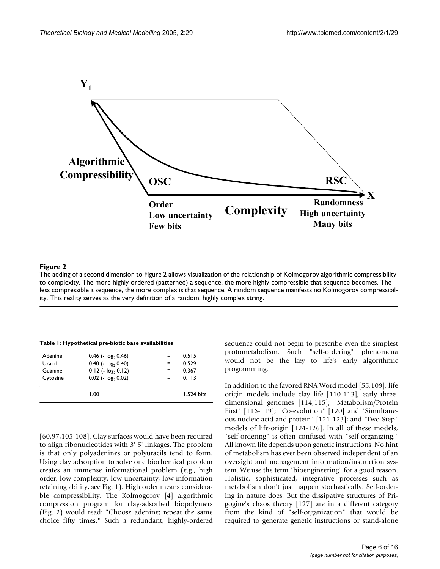

#### The adding of a second dimension to Figure to complexity **Figure 2** 2 allows visualization of the relationship of Kolmogorov algorithmic compressibility

The adding of a second dimension to Figure 2 allows visualization of the relationship of Kolmogorov algorithmic compressibility to complexity. The more highly ordered (patterned) a sequence, the more highly compressible that sequence becomes. The less compressible a sequence, the more complex is that sequence. A random sequence manifests no Kolmogorov compressibility. This reality serves as the very definition of a random, highly complex string.

<span id="page-5-0"></span>**Table 1: Hypothetical pre-biotic base availabilities**

|          | 1.00                     |   | $1.524$ bits |
|----------|--------------------------|---|--------------|
| Cytosine | $0.02$ (- $log_2 0.02$ ) | = | 0.113        |
| Guanine  | $0$ 12 (- $log_2 0.12$ ) | = | 0.367        |
| Uracil   | $0.40$ (- $log_2 0.40$ ) | = | 0.529        |
| Adenine  | $0.46$ (- $log_2 0.46$ ) | = | 0.515        |
|          |                          |   |              |

[60,97,105-108]. Clay surfaces would have been required to align ribonucleotides with 3' 5' linkages. The problem is that only polyadenines or polyuracils tend to form. Using clay adsorption to solve one biochemical problem creates an immense informational problem (e.g., high order, low complexity, low uncertainty, low information retaining ability, see Fig. 1). High order means considerable compressibility. The Kolmogorov [4] algorithmic compression program for clay-adsorbed biopolymers (Fig. 2) would read: "Choose adenine; repeat the same choice fifty times." Such a redundant, highly-ordered sequence could not begin to prescribe even the simplest protometabolism. Such "self-ordering" phenomena would not be the key to life's early algorithmic programming.

In addition to the favored RNA Word model [55,109], life origin models include clay life [110-113]; early threedimensional genomes [114,115]; "Metabolism/Protein First" [116-119]; "Co-evolution" [120] and "Simultaneous nucleic acid and protein" [121-123]; and "Two-Step" models of life-origin [124-126]. In all of these models, "self-ordering" is often confused with "self-organizing." All known life depends upon genetic instructions. No hint of metabolism has ever been observed independent of an oversight and management information/instruction system. We use the term "bioengineering" for a good reason. Holistic, sophisticated, integrative processes such as metabolism don't just happen stochastically. Self-ordering in nature does. But the dissipative structures of Prigogine's chaos theory [127] are in a different category from the kind of "self-organization" that would be required to generate genetic instructions or stand-alone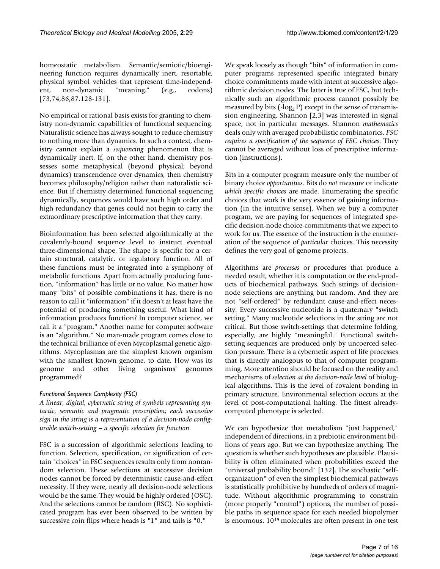homeostatic metabolism. Semantic/semiotic/bioengineering function requires dynamically inert, resortable, physical symbol vehicles that represent time-independent, non-dynamic "meaning." (e.g., codons) [73,74,86,87,128-131].

No empirical or rational basis exists for granting to chemistry non-dynamic capabilities of functional sequencing. Naturalistic science has always sought to reduce chemistry to nothing more than dynamics. In such a context, chemistry cannot explain a *sequencing* phenomenon that is dynamically inert. If, on the other hand, chemistry possesses some metaphysical (beyond physical; beyond dynamics) transcendence over dynamics, then chemistry becomes philosophy/religion rather than naturalistic science. But if chemistry determined functional sequencing dynamically, sequences would have such high order and high redundancy that genes could not begin to carry the extraordinary prescriptive information that they carry.

Bioinformation has been selected algorithmically at the covalently-bound sequence level to instruct eventual three-dimensional shape. The shape is specific for a certain structural, catalytic, or regulatory function. All of these functions must be integrated into a symphony of metabolic functions. Apart from actually producing function, "information" has little or no value. No matter how many "bits" of possible combinations it has, there is no reason to call it "information" if it doesn't at least have the potential of producing something useful. What kind of information produces function? In computer science, we call it a "program." Another name for computer software is an "algorithm." No man-made program comes close to the technical brilliance of even Mycoplasmal genetic algorithms. Mycoplasmas are the simplest known organism with the smallest known genome, to date. How was its genome and other living organisms' genomes programmed?

#### *Functional Sequence Complexity (FSC)*

*A linear, digital, cybernetic string of symbols representing syntactic, semantic and pragmatic prescription; each successive sign in the string is a representation of a decision-node configurable switch-setting – a specific selection for function*.

FSC is a succession of algorithmic selections leading to function. Selection, specification, or signification of certain "choices" in FSC sequences results only from nonrandom selection. These selections at successive decision nodes cannot be forced by deterministic cause-and-effect necessity. If they were, nearly all decision-node selections would be the same. They would be highly ordered (OSC). And the selections cannot be random (RSC). No sophisticated program has ever been observed to be written by successive coin flips where heads is "1" and tails is "0."

We speak loosely as though "bits" of information in computer programs represented specific integrated binary choice commitments made with intent at successive algorithmic decision nodes. The latter is true of FSC, but technically such an algorithmic process cannot possibly be measured by bits  $(-\log_2 P)$  except in the sense of transmission engineering. Shannon [2,3] was interested in signal space, not in particular messages. Shannon *mathematics* deals only with averaged probabilistic combinatorics. *FSC requires a specification of the sequence of FSC choices*. They cannot be averaged without loss of prescriptive information (instructions).

Bits in a computer program measure only the number of binary choice *opportunities*. Bits do *not* measure or indicate *which specific choices* are made. Enumerating the specific choices that work is the very essence of gaining information (in the intuitive sense). When we buy a computer program, we are paying for sequences of integrated specific decision-node choice-commitments that we expect to work for us. The essence of the instruction is the enumeration of the sequence of *particular* choices. This necessity defines the very goal of genome projects.

Algorithms are *processes* or procedures that produce a needed result, whether it is computation or the end-products of biochemical pathways. Such strings of decisionnode selections are anything but random. And they are not "self-ordered" by redundant cause-and-effect necessity. Every successive nucleotide is a quaternary "switch setting." Many nucleotide selections in the string are not critical. But those switch-settings that determine folding, especially, are highly "meaningful." Functional switchsetting sequences are produced only by uncoerced selection pressure. There is a cybernetic aspect of life processes that is directly analogous to that of computer programming. More attention should be focused on the reality and mechanisms of *selection at the decision-node level* of biological algorithms. This is the level of covalent bonding in primary structure. Environmental selection occurs at the level of post-computational halting. The fittest alreadycomputed phenotype is selected.

We can hypothesize that metabolism "just happened," independent of directions, in a prebiotic environment billions of years ago. But we can hypothesize anything. The question is whether such hypotheses are plausible. Plausibility is often eliminated when probabilities exceed the "universal probability bound" [132]. The stochastic "selforganization" of even the simplest biochemical pathways is statistically prohibitive by hundreds of orders of magnitude. Without algorithmic programming to constrain (more properly "control") options, the number of possible paths in sequence space for each needed biopolymer is enormous. 1015 molecules are often present in one test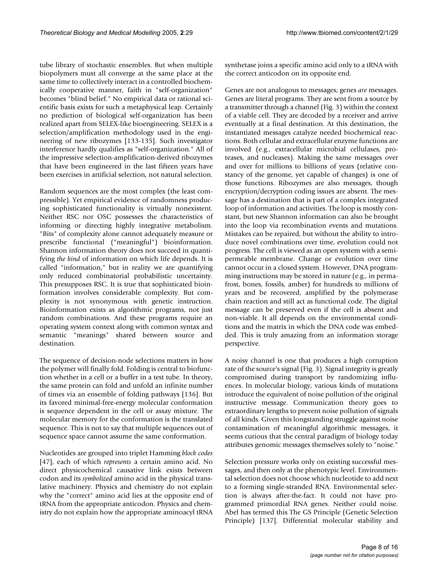tube library of stochastic ensembles. But when multiple biopolymers must all converge at the same place at the same time to collectively interact in a controlled biochemically cooperative manner, faith in "self-organization" becomes "blind belief." No empirical data or rational scientific basis exists for such a metaphysical leap. Certainly no prediction of biological self-organization has been realized apart from SELEX-like bioengineering. SELEX is a selection/amplification methodology used in the engineering of new ribozymes [133-135]. Such investigator interference hardly qualifies as "self-organization." All of the impressive selection-amplification-derived ribozymes that have been engineered in the last fifteen years have been exercises in artificial selection, not natural selection.

Random sequences are the most complex (the least compressible). Yet empirical evidence of randomness producing sophisticated functionality is virtually nonexistent. Neither RSC nor OSC possesses the characteristics of informing or directing highly integrative metabolism. "Bits" of complexity alone cannot adequately measure or prescribe functional ("meaningful") bioinformation. Shannon information theory does not succeed in quantifying *the kind* of information on which life depends. It is called "information," but in reality we are quantifying only reduced combinatorial probabilistic uncertainty. This presupposes RSC. It is true that sophisticated bioinformation involves considerable complexity. But complexity is not synonymous with genetic instruction. Bioinformation exists as algorithmic programs, not just random combinations. And these programs require an operating system context along with common syntax and semantic "meanings" shared between source and destination.

The sequence of decision-node selections matters in how the polymer will finally fold. Folding is central to biofunction whether in a cell or a buffer in a test tube. In theory, the same protein can fold and unfold an infinite number of times via an ensemble of folding pathways [136]. But its favored minimal-free-energy molecular conformation is sequence dependent in the cell or assay mixture. The molecular memory for the conformation is the translated sequence. This is not to say that multiple sequences out of sequence space cannot assume the same conformation.

Nucleotides are grouped into triplet Hamming *block codes* [47], each of which *represents* a certain amino acid. No direct physicochemical causative link exists between codon and its *symbolized* amino acid in the physical translative machinery. Physics and chemistry do not explain why the "correct" amino acid lies at the opposite end of tRNA from the appropriate anticodon. Physics and chemistry do not explain how the appropriate aminoacyl tRNA synthetase joins a specific amino acid only to a tRNA with the correct anticodon on its opposite end.

Genes are not analogous to messages; genes *are* messages. Genes are literal programs. They are sent from a source by a transmitter through a channel (Fig. [3\)](#page-8-0) within the context of a viable cell. They are decoded by a receiver and arrive eventually at a final destination. At this destination, the instantiated messages catalyze needed biochemical reactions. Both cellular and extracellular enzyme functions are involved (e.g., extracellular microbial cellulases, proteases, and nucleases). Making the same messages over and over for millions to billions of years (relative constancy of the genome, yet capable of changes) is one of those functions. Ribozymes are also messages, though encryption/decryption coding issues are absent. The message has a destination that is part of a complex integrated loop of information and activities. The loop is mostly constant, but new Shannon information can also be brought into the loop via recombination events and mutations. Mistakes can be repaired, but without the ability to introduce novel combinations over time, evolution could not progress. The cell is viewed as an open system with a semipermeable membrane. Change or evolution over time cannot occur in a closed system. However, DNA programming instructions may be stored in nature (e.g., in permafrost, bones, fossils, amber) for hundreds to millions of years and be recovered, amplified by the polymerase chain reaction and still act as functional code. The digital message can be preserved even if the cell is absent and non-viable. It all depends on the environmental conditions and the matrix in which the DNA code was embedded. This is truly amazing from an information storage perspective.

A noisy channel is one that produces a high corruption rate of the source's signal (Fig. [3](#page-8-0)). Signal integrity is greatly compromised during transport by randomizing influences. In molecular biology, various kinds of mutations introduce the equivalent of noise pollution of the original instructive message. Communication theory goes to extraordinary lengths to prevent noise pollution of signals of all kinds. Given this longstanding struggle against noise contamination of meaningful algorithmic messages, it seems curious that the central paradigm of biology today attributes genomic messages themselves solely to "noise."

Selection pressure works only on existing successful messages, and then only at the phenotypic level. Environmental selection does not choose which nucleotide to add next to a forming single-stranded RNA. Environmental selection is always after-the-fact. It could not have programmed primordial RNA genes. Neither could noise. Abel has termed this The GS Principle (Genetic Selection Principle) [137]. Differential molecular stability and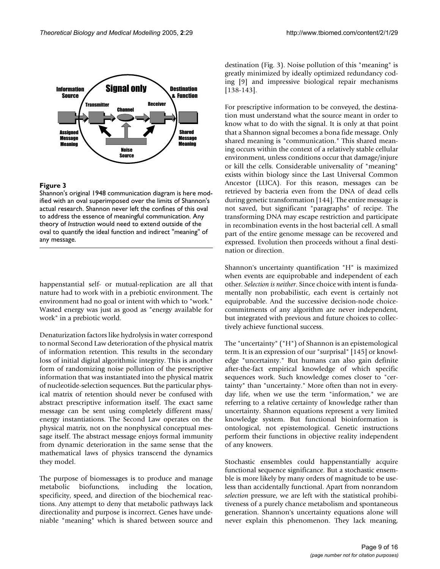<span id="page-8-0"></span>

#### Figure 3

Shannon's original 1948 communication diagram is here modified with an oval superimposed over the limits of Shannon's actual research. Shannon never left the confines of this oval to address the essence of meaningful communication. Any theory of *Instruction* would need to extend outside of the oval to quantify the ideal function and indirect "meaning" of any message.

happenstantial self- or mutual-replication are all that nature had to work with in a prebiotic environment. The environment had no goal or intent with which to "work." Wasted energy was just as good as "energy available for work" in a prebiotic world.

Denaturization factors like hydrolysis in water correspond to normal Second Law deterioration of the physical matrix of information retention. This results in the secondary loss of initial digital algorithmic integrity. This is another form of randomizing noise pollution of the prescriptive information that was instantiated into the physical matrix of nucleotide-selection sequences. But the particular physical matrix of retention should never be confused with abstract prescriptive information itself. The exact same message can be sent using completely different mass/ energy instantiations. The Second Law operates on the physical matrix, not on the nonphysical conceptual message itself. The abstract message enjoys formal immunity from dynamic deterioration in the same sense that the mathematical laws of physics transcend the dynamics they model.

The purpose of biomessages is to produce and manage metabolic biofunctions, including the location, specificity, speed, and direction of the biochemical reactions. Any attempt to deny that metabolic pathways lack directionality and purpose is incorrect. Genes have undeniable "meaning" which is shared between source and destination (Fig. [3](#page-8-0)). Noise pollution of this "meaning" is greatly minimized by ideally optimized redundancy coding [9] and impressive biological repair mechanisms [138-143].

For prescriptive information to be conveyed, the destination must understand what the source meant in order to know what to do with the signal. It is only at that point that a Shannon signal becomes a bona fide message. Only shared meaning is "communication." This shared meaning occurs within the context of a relatively stable cellular environment, unless conditions occur that damage/injure or kill the cells. Considerable universality of "meaning" exists within biology since the Last Universal Common Ancestor (LUCA). For this reason, messages can be retrieved by bacteria even from the DNA of dead cells during genetic transformation [144]. The entire message is not saved, but significant "paragraphs" of recipe. The transforming DNA may escape restriction and participate in recombination events in the host bacterial cell. A small part of the entire genome message can be recovered and expressed. Evolution then proceeds without a final destination or direction.

Shannon's uncertainty quantification "H" is maximized when events are equiprobable and independent of each other. *Selection is neither*. Since choice with intent is fundamentally non probabilistic, each event is certainly not equiprobable. And the successive decision-node choicecommitments of any algorithm are never independent, but integrated with previous and future choices to collectively achieve functional success.

The "uncertainty" ("H") of Shannon is an epistemological term. It is an expression of our "surprisal" [145] or knowledge "uncertainty." But humans can also gain definite after-the-fact empirical knowledge of which specific sequences work. Such knowledge comes closer to "certainty" than "uncertainty." More often than not in everyday life, when we use the term "information," we are referring to a relative certainty of knowledge rather than uncertainty. Shannon equations represent a very limited knowledge system. But functional bioinformation is ontological, not epistemological. Genetic instructions perform their functions in objective reality independent of any knowers.

Stochastic ensembles could happenstantially acquire functional sequence significance. But a stochastic ensemble is more likely by many orders of magnitude to be useless than accidentally functional. Apart from nonrandom *selection* pressure, we are left with the statistical prohibitiveness of a purely chance metabolism and spontaneous generation. Shannon's uncertainty equations alone will never explain this phenomenon. They lack meaning,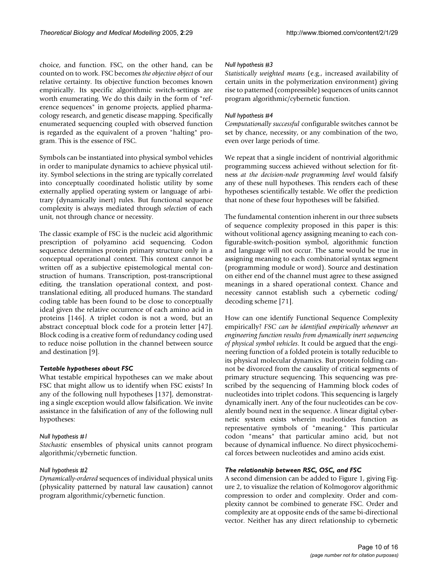choice, and function. FSC, on the other hand, can be counted on to work. FSC becomes *the objective object* of our relative certainty. Its objective function becomes known empirically. Its specific algorithmic switch-settings are worth enumerating. We do this daily in the form of "reference sequences" in genome projects, applied pharmacology research, and genetic disease mapping. Specifically enumerated sequencing coupled with observed function is regarded as the equivalent of a proven "halting" program. This is the essence of FSC.

Symbols can be instantiated into physical symbol vehicles in order to manipulate dynamics to achieve physical utility. Symbol selections in the string are typically correlated into conceptually coordinated holistic utility by some externally applied operating system or language of arbitrary (dynamically inert) rules. But functional sequence complexity is always mediated through *selection* of each unit, not through chance or necessity.

The classic example of FSC is the nucleic acid algorithmic prescription of polyamino acid sequencing. Codon sequence determines protein primary structure only in a conceptual operational context. This context cannot be written off as a subjective epistemological mental construction of humans. Transcription, post-transcriptional editing, the translation operational context, and posttranslational editing, all produced humans. The standard coding table has been found to be close to conceptually ideal given the relative occurrence of each amino acid in proteins [146]. A triplet codon is not a word, but an abstract conceptual block code for a protein letter [47]. Block coding is a creative form of redundancy coding used to reduce noise pollution in the channel between source and destination [9].

## *Testable hypotheses about FSC*

What testable empirical hypotheses can we make about FSC that might allow us to identify when FSC exists? In any of the following null hypotheses [137], demonstrating a single exception would allow falsification. We invite assistance in the falsification of any of the following null hypotheses:

## *Null hypothesis #1*

*Stochastic* ensembles of physical units cannot program algorithmic/cybernetic function.

## *Null hypothesis #2*

*Dynamically-ordered* sequences of individual physical units (physicality patterned by natural law causation) cannot program algorithmic/cybernetic function.

#### *Null hypothesis #3*

*Statistically weighted means* (e.g., increased availability of certain units in the polymerization environment) giving rise to patterned (compressible) sequences of units cannot program algorithmic/cybernetic function.

#### *Null hypothesis #4*

*Computationally successful* configurable switches cannot be set by chance, necessity, or any combination of the two, even over large periods of time.

We repeat that a single incident of nontrivial algorithmic programming success achieved without selection for fitness *at the decision-node programming level* would falsify any of these null hypotheses. This renders each of these hypotheses scientifically testable. We offer the prediction that none of these four hypotheses will be falsified.

The fundamental contention inherent in our three subsets of sequence complexity proposed in this paper is this: without volitional agency assigning meaning to each configurable-switch-position symbol, algorithmic function and language will not occur. The same would be true in assigning meaning to each combinatorial syntax segment (programming module or word). Source and destination on either end of the channel must agree to these assigned meanings in a shared operational context. Chance and necessity cannot establish such a cybernetic coding/ decoding scheme [71].

How can one identify Functional Sequence Complexity empirically? *FSC can be identified empirically whenever an engineering function results from dynamically inert sequencing of physical symbol vehicles*. It could be argued that the engineering function of a folded protein is totally reducible to its physical molecular dynamics. But protein folding cannot be divorced from the causality of critical segments of primary structure sequencing. This sequencing was prescribed by the sequencing of Hamming block codes of nucleotides into triplet codons. This sequencing is largely dynamically inert. Any of the four nucleotides can be covalently bound next in the sequence. A linear digital cybernetic system exists wherein nucleotides function as representative symbols of "meaning." This particular codon "means" that particular amino acid, but not because of dynamical influence. No direct physicochemical forces between nucleotides and amino acids exist.

## *The relationship between RSC, OSC, and FSC*

A second dimension can be added to Figure 1, giving Figure 2, to visualize the relation of Kolmogorov algorithmic compression to order and complexity. Order and complexity cannot be combined to generate FSC. Order and complexity are at opposite ends of the same bi-directional vector. Neither has any direct relationship to cybernetic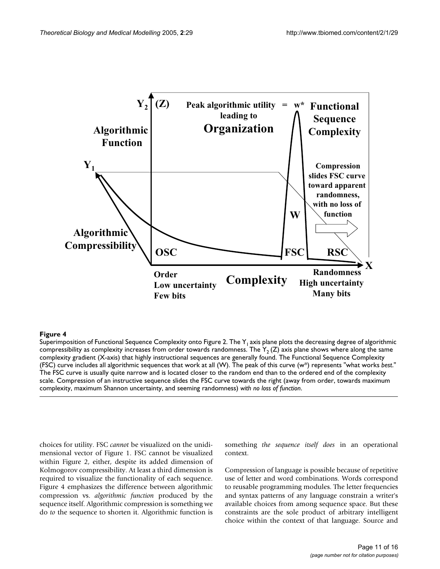

#### **Figure 4**

Superimposition of Functional Sequence Complexity onto Figure 2. The  $Y_1$  axis plane plots the decreasing degree of algorithmic compressibility as complexity increases from order towards randomness. The  $Y_2 (Z)$  axis plane shows where along the same complexity gradient (X-axis) that highly instructional sequences are generally found. The Functional Sequence Complexity (FSC) curve includes all algorithmic sequences that work at all (W). The peak of this curve (w\*) represents "what works *best*." The FSC curve is usually quite narrow and is located closer to the random end than to the ordered end of the complexity scale. Compression of an instructive sequence slides the FSC curve towards the right (away from order, towards maximum complexity, maximum Shannon uncertainty, and seeming randomness) *with no loss of function*.

choices for utility. FSC *cannot* be visualized on the unidimensional vector of Figure 1. FSC cannot be visualized within Figure 2, either, despite its added dimension of Kolmogorov compressibility. At least a third dimension is required to visualize the functionality of each sequence. Figure 4 emphasizes the difference between algorithmic compression vs. *algorithmic function* produced by the sequence itself. Algorithmic compression is something we do *to* the sequence to shorten it. Algorithmic function is something *the sequence itself does* in an operational context.

Compression of language is possible because of repetitive use of letter and word combinations. Words correspond to reusable programming modules. The letter frequencies and syntax patterns of any language constrain a writer's available choices from among sequence space. But these constraints are the sole product of arbitrary intelligent choice within the context of that language. Source and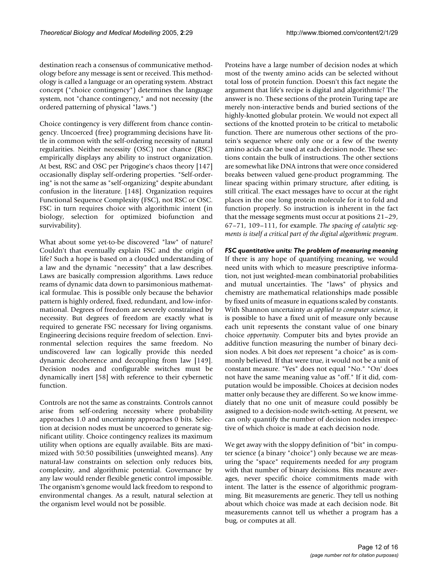destination reach a consensus of communicative methodology before any message is sent or received. This methodology is called a language or an operating system. Abstract concept ("choice contingency") determines the language system, not "chance contingency," and not necessity (the ordered patterning of physical "laws.")

Choice contingency is very different from chance contingency. Uncoerced (free) programming decisions have little in common with the self-ordering necessity of natural regularities. Neither necessity (OSC) nor chance (RSC) empirically displays any ability to instruct organization. At best, RSC and OSC per Prigogine's chaos theory [147] occasionally display self-ordering properties. "Self-ordering" is not the same as "self-organizing" despite abundant confusion in the literature. [148]. Organization requires Functional Sequence Complexity (FSC), not RSC or OSC. FSC in turn requires choice with algorithmic intent (in biology, selection for optimized biofunction and survivability).

What about some yet-to-be discovered "law" of nature? Couldn't that eventually explain FSC and the origin of life? Such a hope is based on a clouded understanding of a law and the dynamic "necessity" that a law describes. Laws are basically compression algorithms. Laws reduce reams of dynamic data down to parsimonious mathematical formulae. This is possible only because the behavior pattern is highly ordered, fixed, redundant, and low-informational. Degrees of freedom are severely constrained by necessity. But degrees of freedom are exactly what is required to generate FSC necessary for living organisms. Engineering decisions require freedom of selection. Environmental selection requires the same freedom. No undiscovered law can logically provide this needed dynamic decoherence and decoupling from law [149]. Decision nodes and configurable switches must be dynamically inert [58] with reference to their cybernetic function.

Controls are not the same as constraints. Controls cannot arise from self-ordering necessity where probability approaches 1.0 and uncertainty approaches 0 bits. Selection at decision nodes must be uncoerced to generate significant utility. Choice contingency realizes its maximum utility when options are equally available. Bits are maximized with 50:50 possibilities (unweighted means). Any natural-law constraints on selection only reduces bits, complexity, and algorithmic potential. Governance by any law would render flexible genetic control impossible. The organism's genome would lack freedom to respond to environmental changes. As a result, natural selection at the organism level would not be possible.

Proteins have a large number of decision nodes at which most of the twenty amino acids can be selected without total loss of protein function. Doesn't this fact negate the argument that life's recipe is digital and algorithmic? The answer is no. These sections of the protein Turing tape are merely non-interactive bends and buried sections of the highly-knotted globular protein. We would not expect all sections of the knotted protein to be critical to metabolic function. There are numerous other sections of the protein's sequence where only one or a few of the twenty amino acids can be used at each decision node. These sections contain the bulk of instructions. The other sections are somewhat like DNA introns that were once considered breaks between valued gene-product programming. The linear spacing within primary structure, after editing, is still critical. The exact messages have to occur at the right places in the one long protein molecule for it to fold and function properly. So instruction is inherent in the fact that the message segments must occur at positions 21–29, 67–71, 109–111, for example. *The spacing of catalytic segments is itself a critical part of the digital algorithmic program*.

*FSC quantitative units: The problem of measuring meaning* If there is any hope of quantifying meaning, we would need units with which to measure prescriptive information, not just weighted-mean combinatorial probabilities and mutual uncertainties. The "laws" of physics and chemistry are mathematical relationships made possible by fixed units of measure in equations scaled by constants. With Shannon uncertainty *as applied to computer science*, it is possible to have a fixed unit of measure only because each unit represents the constant value of one binary choice *opportunity*. Computer bits and bytes provide an additive function measuring the number of binary decision nodes. A bit does *not* represent "a choice" as is commonly believed. If that were true, it would not be a unit of constant measure. "Yes" does not equal "No." "On' does not have the same meaning value as "off." If it did, computation would be impossible. Choices at decision nodes matter only because they are different. So we know immediately that no one unit of measure could possibly be assigned to a decision-node switch-setting. At present, we can only quantify the number of decision nodes irrespective of which choice is made at each decision node.

We get away with the sloppy definition of "bit" in computer science (a binary "choice") only because we are measuring the "space" requirements needed for *any* program with that number of binary decisions. Bits measure averages, never specific choice commitments made with intent. The latter is the essence of algorithmic programming. Bit measurements are generic. They tell us nothing about which choice was made at each decision node. Bit measurements cannot tell us whether a program has a bug, or computes at all.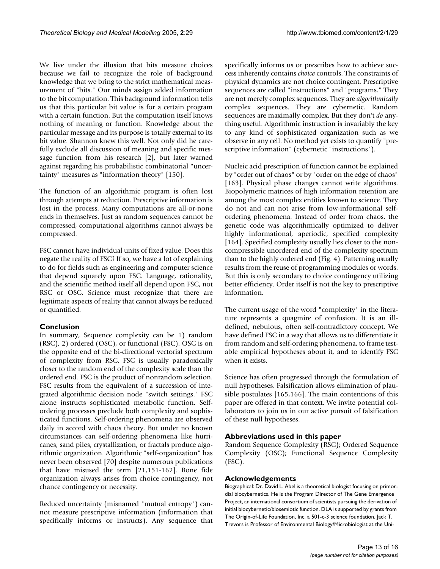We live under the illusion that bits measure choices because we fail to recognize the role of background knowledge that we bring to the strict mathematical measurement of "bits." Our minds assign added information to the bit computation. This background information tells us that this particular bit value is for a certain program with a certain function. But the computation itself knows nothing of meaning or function. Knowledge about the particular message and its purpose is totally external to its bit value. Shannon knew this well. Not only did he carefully exclude all discussion of meaning and specific message function from his research [2], but later warned against regarding his probabilistic combinatorial "uncertainty" measures as "information theory" [150].

The function of an algorithmic program is often lost through attempts at reduction. Prescriptive information is lost in the process. Many computations are all-or-none ends in themselves. Just as random sequences cannot be compressed, computational algorithms cannot always be compressed.

FSC cannot have individual units of fixed value. Does this negate the reality of FSC? If so, we have a lot of explaining to do for fields such as engineering and computer science that depend squarely upon FSC. Language, rationality, and the scientific method itself all depend upon FSC, not RSC or OSC. Science must recognize that there are legitimate aspects of reality that cannot always be reduced or quantified.

## **Conclusion**

In summary, Sequence complexity can be 1) random (RSC), 2) ordered (OSC), or functional (FSC). OSC is on the opposite end of the bi-directional vectorial spectrum of complexity from RSC. FSC is usually paradoxically closer to the random end of the complexity scale than the ordered end. FSC is the product of nonrandom selection. FSC results from the equivalent of a succession of integrated algorithmic decision node "switch settings." FSC alone instructs sophisticated metabolic function. Selfordering processes preclude both complexity and sophisticated functions. Self-ordering phenomena are observed daily in accord with chaos theory. But under no known circumstances can self-ordering phenomena like hurricanes, sand piles, crystallization, or fractals produce algorithmic organization. Algorithmic "self-organization" has never been observed [70] despite numerous publications that have misused the term [21,151-162]. Bone fide organization always arises from choice contingency, not chance contingency or necessity.

Reduced uncertainty (misnamed "mutual entropy") cannot measure prescriptive information (information that specifically informs or instructs). Any sequence that specifically informs us or prescribes how to achieve success inherently contains *choice* controls. The constraints of physical dynamics are not choice contingent. Prescriptive sequences are called "instructions" and "programs." They are not merely complex sequences. They are *algorithmically* complex sequences. They are cybernetic. Random sequences are maximally complex. But they don't *do* anything useful. Algorithmic instruction is invariably the key to any kind of sophisticated organization such as we observe in any cell. No method yet exists to quantify "prescriptive information" (cybernetic "instructions").

Nucleic acid prescription of function cannot be explained by "order out of chaos" or by "order on the edge of chaos" [163]. Physical phase changes cannot write algorithms. Biopolymeric matrices of high information retention are among the most complex entities known to science. They do not and can not arise from low-informational selfordering phenomena. Instead of order from chaos, the genetic code was algorithmically optimized to deliver highly informational, aperiodic, specified complexity [164]. Specified complexity usually lies closer to the noncompressible unordered end of the complexity spectrum than to the highly ordered end (Fig. 4). Patterning usually results from the reuse of programming modules or words. But this is only secondary to choice contingency utilizing better efficiency. Order itself is not the key to prescriptive information.

The current usage of the word "complexity" in the literature represents a quagmire of confusion. It is an illdefined, nebulous, often self-contradictory concept. We have defined FSC in a way that allows us to differentiate it from random and self-ordering phenomena, to frame testable empirical hypotheses about it, and to identify FSC when it exists.

Science has often progressed through the formulation of null hypotheses. Falsification allows elimination of plausible postulates [165,166]. The main contentions of this paper are offered in that context. We invite potential collaborators to join us in our active pursuit of falsification of these null hypotheses.

#### **Abbreviations used in this paper**

Random Sequence Complexity (RSC); Ordered Sequence Complexity (OSC); Functional Sequence Complexity (FSC).

#### **Acknowledgements**

Biographical: Dr. David L. Abel is a theoretical biologist focusing on primordial biocybernetics. He is the Program Director of The Gene Emergence Project, an international consortium of scientists pursuing the derivation of initial biocybernetic/biosemiotic function. DLA is supported by grants from The Origin-of-Life Foundation, Inc. a 501-c-3 science foundation. Jack T. Trevors is Professor of Environmental Biology/Microbiologist at the Uni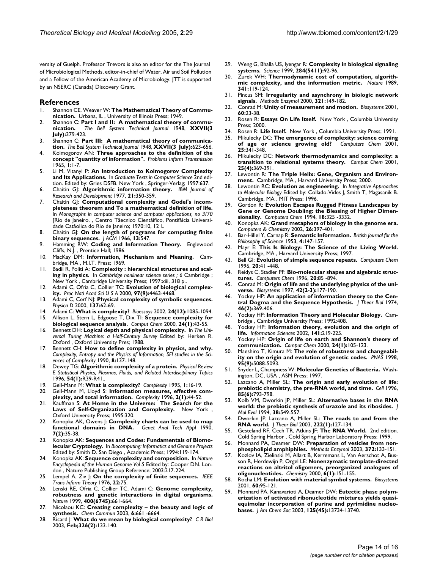versity of Guelph. Professor Trevors is also an editor for the The Journal of Microbiological Methods, editor-in-chief of Water, Air and Soil Pollution and a Fellow of the American Academy of Microbiology. JTT is supported by an NSERC (Canada) Discovery Grant.

#### **References**

- 1. Shannon CE, Weaver W: **The Mathematical Theory of Communication.** Urbana, IL , University of Illinois Press; 1949.
- 2. Shannon C: **Part I and II: A mathematical theory of communication.** *The Bell System Technical Journal* 1948, **XXVII(3 July):**379-423.
- 3. Shannon C: **Part III: A mathematical theory of communication.** *The Bell System Technical Journal* 1948, **XXVII(3 July):**623-656.
- 4. Kolmogorov AN: **Three approaches to the definition of the concept "quantity of information".** *Problems Inform Transmission* 1965, **1:**1-7.
- 5. Li M, Vitanyi P: **An Introduction to Kolmogorov Complexity and Its Applications.** In *Graduate Texts in Computer Science* 2nd edition. Edited by: Gries DSFB. New York , Springer-Verlag; 1997:637.
- 6. Chaitin GJ: **Algorithmic information theory.** *IBM Journal of Research and Development* 1977, **21:**350-359.
- 7. Chaitin GJ: **Computational complexity and Godel's incompleteness theorem and To a mathematical definition of life.** In *Monographs in computer science and computer applications, no 3/70* [Rio de Janeiro, , Centro Tâecnico Cientâifico, Pontifâicia Universidade Catâolica do Rio de Janeiro; 1970:10, 12 l..
- 8. Chaitin GJ: **On the length of programs for computing finite binary sequences.** *J ACM* 1966, **13:**547.
- 9. Hamming RW: **Coding and Information Theory.** Englewood Cliffs, N.J. , Prentice Hall; 1986.
- 10. MacKay DM: **Information, Mechanism and Meaning.** Cambridge, MA , M.I.T. Press; 1969.
- 11. Badii R, Politi A: **Complexity : hierarchical structures and scaling in physics.** In *Cambridge nonlinear science series ; 6* Cambridge ; New York , Cambridge University Press; 1997:xiii, 318 p..
- 12. Adami C, Ofria C, Collier TC: **[Evolution of biological complex](http://www.ncbi.nlm.nih.gov/entrez/query.fcgi?cmd=Retrieve&db=PubMed&dopt=Abstract&list_uids=10781045)[ity.](http://www.ncbi.nlm.nih.gov/entrez/query.fcgi?cmd=Retrieve&db=PubMed&dopt=Abstract&list_uids=10781045)** *Proc Natl Acad Sci U S A* 2000, **97(9):**4463-4468.
- 13. Adami C, Cerf NJ: **Physical complexity of symbolic sequences.** *Physica D* 2000, **137:**62-69.
- 14. Adami C: **[What is complexity?](http://www.ncbi.nlm.nih.gov/entrez/query.fcgi?cmd=Retrieve&db=PubMed&dopt=Abstract&list_uids=12447974)** *Bioessays* 2002, **24(12):**1085-1094.
- 15. Allison L, Stern L, Edgoose T, Dix TI: **[Sequence complexity for](http://www.ncbi.nlm.nih.gov/entrez/query.fcgi?cmd=Retrieve&db=PubMed&dopt=Abstract&list_uids=10642879) [biological sequence analysis.](http://www.ncbi.nlm.nih.gov/entrez/query.fcgi?cmd=Retrieve&db=PubMed&dopt=Abstract&list_uids=10642879)** *Comput Chem* 2000, **24(1):**43-55.
- 16. Bennett DH: **Logical depth and physical complexity.** In *The Universal Turing Machine: a Half-Century Survey* Edited by: Herken R. Oxford , Oxford University Pres; 1988.
- 17. Bennett CH: **How to define complexity in physics, and why.** *Complexity, Entropy and the Physics of Information, SFI studies in the Sciences of Complexity* 1990, **8:**137-148.
- 18. Dewey TG: **[Algorithmic complexity of a protein.](http://www.ncbi.nlm.nih.gov/entrez/query.fcgi?cmd=Retrieve&db=PubMed&dopt=Abstract&list_uids=9965170)** *Physical Review E Statistical Physics, Plasmas, Fluids, and Related Interdisciplinary Topics* 1996, **54(1):**R39-R41..
- 19. Gell-Mann M: **What is complexity?** *Complexity* 1995, **1:**16-19.
- 20. Gell-Mann M, Lloyd S: **Information measures, effective complexity, and total information.** *Complexity* 1996, **2(1):**44-52.
- 21. Kauffman S: **At Home in the Universe: The Search for the Laws of Self-Organization and Complexity.** New York , Oxford University Press; 1995:320.
- 22. Konopka AK, Owens J: **[Complexity charts can be used to map](http://www.ncbi.nlm.nih.gov/entrez/query.fcgi?cmd=Retrieve&db=PubMed&dopt=Abstract&list_uids=2328140) [functional domains in DNA.](http://www.ncbi.nlm.nih.gov/entrez/query.fcgi?cmd=Retrieve&db=PubMed&dopt=Abstract&list_uids=2328140)** *Genet Anal Tech Appl* 1990, **7(2):**35-38.
- 23. Konopka AK: **Sequences and Codes: Fundamentals of Biomolecular Cryptology.** In *Biocomputing: Informatics and Genome Projects* Edited by: Smith D. San Diego , Academic Press; 1994:119-174.
- 24. Konopka AK: **Sequence complexity and composition.** In *Nature Encyclopedia of the Human Genome Vol 5* Edited by: Cooper DN. London , Nature Publishing Group Reference; 2003:217-224.
- 25. Lempel A, Ziv J: **On the complexity of finite sequences.** *IEEE Trans Inform Theory* 1976, **22:**75.
- 26. Lenski RE, Ofria C, Collier TC, Adami C: **[Genome complexity,](http://www.ncbi.nlm.nih.gov/entrez/query.fcgi?cmd=Retrieve&db=PubMed&dopt=Abstract&list_uids=10458160) [robustness and genetic interactions in digital organisms.](http://www.ncbi.nlm.nih.gov/entrez/query.fcgi?cmd=Retrieve&db=PubMed&dopt=Abstract&list_uids=10458160)** *Nature* 1999, **400(6745):**661-664.
- 27. Nicolaou KC: **Creating complexity the beauty and logic of synthesis.** *Chem Commun* 2003, **6:**661 -6664.
- 28. Ricard J: **What do we mean by biological complexity?** *C R Biol* 2003, **Feb;326(2):**133-140.
- 29. Weng G, Bhalla US, Iyengar R: **[Complexity in biological signaling](http://www.ncbi.nlm.nih.gov/entrez/query.fcgi?cmd=Retrieve&db=PubMed&dopt=Abstract&list_uids=10102825) [systems.](http://www.ncbi.nlm.nih.gov/entrez/query.fcgi?cmd=Retrieve&db=PubMed&dopt=Abstract&list_uids=10102825)** *Science* 1999, **284(5411):**92-96.
- 30. Zurek WH: **Thermodynamic cost of computation, algorithmic complexity, and the information metric.** *Nature* 1989, **341:**119-124.
- 31. Pincus SM: **[Irregularity and asynchrony in biologic network](http://www.ncbi.nlm.nih.gov/entrez/query.fcgi?cmd=Retrieve&db=PubMed&dopt=Abstract&list_uids=10909056) [signals.](http://www.ncbi.nlm.nih.gov/entrez/query.fcgi?cmd=Retrieve&db=PubMed&dopt=Abstract&list_uids=10909056)** *Methods Enzymol* 2000, **321:**149-182.
- 32. Conrad M: **[Unity of measurement and motion.](http://www.ncbi.nlm.nih.gov/entrez/query.fcgi?cmd=Retrieve&db=PubMed&dopt=Abstract&list_uids=11325501)** *Biosystems* 2001, **60:**23-38.
- 33. Rosen R: **Essays On Life Itself.** New York , Columbia University Press; 2000.
- 34. Rosen R: **Life Itself.** New York , Columbia University Press; 1991.
- 35. Mikulecky DC: **The emergence of complexity: science coming of age or science growing old?** *Computers Chem* 2001, **25:**341-348.
- 36. Mikulecky DC: **[Network thermodynamics and complexity: a](http://www.ncbi.nlm.nih.gov/entrez/query.fcgi?cmd=Retrieve&db=PubMed&dopt=Abstract&list_uids=11459352) [transition to relational systems theory.](http://www.ncbi.nlm.nih.gov/entrez/query.fcgi?cmd=Retrieve&db=PubMed&dopt=Abstract&list_uids=11459352)** *Comput Chem* 2001, **25(4):**369-391.
- 37. Lewontin R: **The Triple Helix: Gene, Organism and Environment.** Cambridge, MA , Harvard University Press; 2000.
- 38. Lewontin RC: **Evolution as engineering.** In *Integrative Approaches to Molecular Biology* Edited by: Collado-Vides J, Smith T, Magasanik B. Cambridge, MA , MIT Press; 1996.
- 39. Gordon R: **Evolution Escapes Rugged Fitness Landscapes by Gene or Genome Doubling: the Blessing of Higher Dimensionality.** *Computers Chem* 1994, **18:**325 -3332.
- 40. Konopka AK: **[Grand metaphors of biology in the genome era.](http://www.ncbi.nlm.nih.gov/entrez/query.fcgi?cmd=Retrieve&db=PubMed&dopt=Abstract&list_uids=12144170)** *Computers & Chemistry* 2002, **26:**397-401.
- 41. Bar-Hillel Y, Carnap R: **Semantic Information.** *British Journal for the Philosophy of Science* 1953, **4:**147-157.
- 42. Mayr E: **This Is Biology: The Science of the Living World.** Cambridge, MA , Harvard University Press; 1997.
- 43. Bell GI: **Evolution of simple sequence repeats.** *Computers Chem* 1996, **20:**41 -448.
- 44. Reidys C, Stadler PF: **Bio-molecular shapes and algebraic structures.** *Computers Chem* 1996, **20:**85 -894.
- 45. Conrad M: **[Origin of life and the underlying physics of the uni](http://www.ncbi.nlm.nih.gov/entrez/query.fcgi?cmd=Retrieve&db=PubMed&dopt=Abstract&list_uids=9184763)[verse.](http://www.ncbi.nlm.nih.gov/entrez/query.fcgi?cmd=Retrieve&db=PubMed&dopt=Abstract&list_uids=9184763)** *Biosystems* 1997, **42(2-3):**177-190.
- 46. Yockey HP: **[An application of information theory to the Cen](http://www.ncbi.nlm.nih.gov/entrez/query.fcgi?cmd=Retrieve&db=PubMed&dopt=Abstract&list_uids=4423458)[tral Dogma and the Sequence Hypothesis.](http://www.ncbi.nlm.nih.gov/entrez/query.fcgi?cmd=Retrieve&db=PubMed&dopt=Abstract&list_uids=4423458)** *J Theor Biol* 1974, **46(2):**369-406.
- 47. Yockey HP: **Information Theory and Molecular Biology.** Cambridge , Cambridge University Press; 1992:408.
- 48. Yockey HP: **Information theory, evolution and the origin of life.** *Information Sciences* 2002, **141:**219-225.
- 49. Yockey HP: **[Origin of life on earth and Shannon's theory of](http://www.ncbi.nlm.nih.gov/entrez/query.fcgi?cmd=Retrieve&db=PubMed&dopt=Abstract&list_uids=10642883) [communication.](http://www.ncbi.nlm.nih.gov/entrez/query.fcgi?cmd=Retrieve&db=PubMed&dopt=Abstract&list_uids=10642883)** *Comput Chem* 2000, **24(1):**105-123.
- 50. Maeshiro T, Kimura M: **[The role of robustness and changeabil](http://www.ncbi.nlm.nih.gov/entrez/query.fcgi?cmd=Retrieve&db=PubMed&dopt=Abstract&list_uids=9560233)[ity on the origin and evolution of genetic codes.](http://www.ncbi.nlm.nih.gov/entrez/query.fcgi?cmd=Retrieve&db=PubMed&dopt=Abstract&list_uids=9560233)** *PNAS* 1998, **95(9):**5088-5093.
- 51. Snyder L, Champness W: **Molecular Genetics of Bacteria.** Washington, DC, USA , ASM Press; 1997.
- 52. Lazcano A, Miller SL: **[The origin and early evolution of life:](http://www.ncbi.nlm.nih.gov/entrez/query.fcgi?cmd=Retrieve&db=PubMed&dopt=Abstract&list_uids=8681375) [prebiotic chemistry, the pre-RNA world, and time.](http://www.ncbi.nlm.nih.gov/entrez/query.fcgi?cmd=Retrieve&db=PubMed&dopt=Abstract&list_uids=8681375)** *Cell* 1996, **85(6):**793-798.
- 53. Kolb VM, Dworkin JP, Miller SL: **[Alternative bases in the RNA](http://www.ncbi.nlm.nih.gov/entrez/query.fcgi?cmd=Retrieve&db=PubMed&dopt=Abstract&list_uids=11539446) [world: the prebiotic synthesis of urazole and its ribosides.](http://www.ncbi.nlm.nih.gov/entrez/query.fcgi?cmd=Retrieve&db=PubMed&dopt=Abstract&list_uids=11539446)** *J Mol Evol* 1994, **38:**549-557.
- 54. Dworkin JP, Lazcano A, Miller SL: **[The roads to and from the](http://www.ncbi.nlm.nih.gov/entrez/query.fcgi?cmd=Retrieve&db=PubMed&dopt=Abstract&list_uids=12699739) [RNA world.](http://www.ncbi.nlm.nih.gov/entrez/query.fcgi?cmd=Retrieve&db=PubMed&dopt=Abstract&list_uids=12699739)** *J Theor Biol* 2003, **222(1):**127-134.
- 55. Gesteland RF, Cech TR, Atkins JF: **The RNA World.** 2nd edition. Cold Spring Harbor , Cold Spring Harbor Laboratory Press; 1999.
- 56. Monnard PA, Deamer DW: **[Preparation of vesicles from non](http://www.ncbi.nlm.nih.gov/entrez/query.fcgi?cmd=Retrieve&db=PubMed&dopt=Abstract&list_uids=14610811)[phospholipid amphiphiles.](http://www.ncbi.nlm.nih.gov/entrez/query.fcgi?cmd=Retrieve&db=PubMed&dopt=Abstract&list_uids=14610811)** *Methods Enzymol* 2003, **372:**133-151.
- 57. Kozlov IA, Zielinski M, Allart B, Kerremans L, Van Aerschot A, Busson R, Herdewijn P, Orgel LE: **[Nonenzymatic template-directed](http://www.ncbi.nlm.nih.gov/entrez/query.fcgi?cmd=Retrieve&db=PubMed&dopt=Abstract&list_uids=10747399) [reactions on altritol oligomers, preorganized analogues of](http://www.ncbi.nlm.nih.gov/entrez/query.fcgi?cmd=Retrieve&db=PubMed&dopt=Abstract&list_uids=10747399) [oligonucleotides.](http://www.ncbi.nlm.nih.gov/entrez/query.fcgi?cmd=Retrieve&db=PubMed&dopt=Abstract&list_uids=10747399)** *Chemistry* 2000, **6(1):**151-155.
- 58. Rocha LM: **[Evolution with material symbol systems.](http://www.ncbi.nlm.nih.gov/entrez/query.fcgi?cmd=Retrieve&db=PubMed&dopt=Abstract&list_uids=11325506)** *Biosystems* 2001, **60:**95-121.
- 59. Monnard PA, Kanavarioti A, Deamer DW: **[Eutectic phase polym](http://www.ncbi.nlm.nih.gov/entrez/query.fcgi?cmd=Retrieve&db=PubMed&dopt=Abstract&list_uids=14599212)[erization of activated ribonucleotide mixtures yields quasi](http://www.ncbi.nlm.nih.gov/entrez/query.fcgi?cmd=Retrieve&db=PubMed&dopt=Abstract&list_uids=14599212)equimolar incorporation of purine and pyrimidine nucleo[bases.](http://www.ncbi.nlm.nih.gov/entrez/query.fcgi?cmd=Retrieve&db=PubMed&dopt=Abstract&list_uids=14599212)** *J Am Chem Soc* 2003, **125(45):**13734-13740.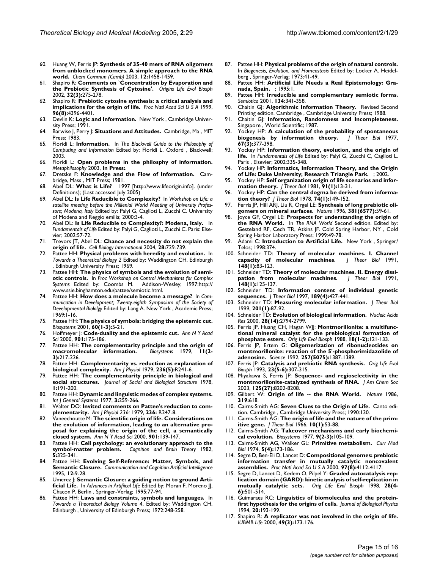- 60. Huang W, Ferris JP: **[Synthesis of 35-40 mers of RNA oligomers](http://www.ncbi.nlm.nih.gov/entrez/query.fcgi?cmd=Retrieve&db=PubMed&dopt=Abstract&list_uids=12841290) [from unblocked monomers. A simple approach to the RNA](http://www.ncbi.nlm.nih.gov/entrez/query.fcgi?cmd=Retrieve&db=PubMed&dopt=Abstract&list_uids=12841290) [world.](http://www.ncbi.nlm.nih.gov/entrez/query.fcgi?cmd=Retrieve&db=PubMed&dopt=Abstract&list_uids=12841290)** *Chem Commun (Camb)* 2003, **12:**1458-1459.
- 61. Shapiro R: **Comments on `Concentration by Evaporation and the Prebiotic Synthesis of Cytosine'.** *Origins Life Evol Biosph* 2002, **32(3):**275-278.
- 62. Shapiro R: **[Prebiotic cytosine synthesis: a critical analysis and](http://www.ncbi.nlm.nih.gov/entrez/query.fcgi?cmd=Retrieve&db=PubMed&dopt=Abstract&list_uids=10200273) [implications for the origin of life.](http://www.ncbi.nlm.nih.gov/entrez/query.fcgi?cmd=Retrieve&db=PubMed&dopt=Abstract&list_uids=10200273)** *Proc Natl Acad Sci U S A* 1999, **96(8):**4396-4401.
- 63. Devlin K: **Logic and Information.** New York , Cambridge University Press; 1991.
- Barwise J, Perry J: Situations and Attitudes. Cambridge, Ma, MIT Press; 1983.
- 65. Floridi L: **Information.** In *The Blackwell Guide to the Philosophy of Computing and Information* Edited by: Floridi L. Oxford , Blackwell; 2003.
- 66. Floridi L: **Open problems in the philosphy of information.** *Metaphilosophy* 2003, **In Press:**.
- 67. Dretske F: **Knowledge and the Flow of Information.** Cambridge, Mass , MIT Press; 1981.
- 68. Abel DL: **What is Life?** 1997 [[http://www.lifeorigin.info\]](http://www.lifeorigin.info). (under Definitions); (Last accessed July 2005)
- 69. Abel DL: **Is Life Reducible to Complexity?** In *Workshop on Life: a satellite meeting before the Millenial World Meeting of University Professors; Modena, Italy* Edited by: Palyi G, Caglioti L, Zucchi C. University of Modena and Reggio emilia; 2000:3-4.
- 70. Abel DL: **Is Life Reducible to Complexity?: Modena, Italy.** In *Fundamentals of Life* Edited by: Palyi G, Caglioti L, Zucchi C. Paris: Elsevier; 2002:57-72.
- 71. Trevors JT, Abel DL: **[Chance and necessity do not explain the](http://www.ncbi.nlm.nih.gov/entrez/query.fcgi?cmd=Retrieve&db=PubMed&dopt=Abstract&list_uids=15563395) [origin of life.](http://www.ncbi.nlm.nih.gov/entrez/query.fcgi?cmd=Retrieve&db=PubMed&dopt=Abstract&list_uids=15563395)** *Cell Biology International* 2004, **28:**729-739.
- 72. Pattee HH: **Physical problems with heredity and evolution.** In *Towards a Theoretical Biology 2* Edited by: Waddington CH. Edinburgh , Edinburgh University Press; 1969.
- 73. Pattee HH: **The physics of symbols and the evolution of semiotic controls.** In *Proc Workshop on Control Mechanisms for Complex* Systems Edited by: Coombs M. www.ssie.binghamton.edu/pattee/semiotic.html.
- 74. Pattee HH: **How does a molecule become a message?** In *Communication in Development; Twenty-eighth Symposium of the Society of Developmental Biololgy* Edited by: Lang A. New York , Academic Press; 1969:1-16.
- 75. Pattee HH: **[The physics of symbols: bridging the epistemic cut.](http://www.ncbi.nlm.nih.gov/entrez/query.fcgi?cmd=Retrieve&db=PubMed&dopt=Abstract&list_uids=11325500)** *Biosystems* 2001, **60(1-3):**5-21.
- 76. Hoffmeyer J: **[Code-duality and the epistemic cut.](http://www.ncbi.nlm.nih.gov/entrez/query.fcgi?cmd=Retrieve&db=PubMed&dopt=Abstract&list_uids=10818569)** *Ann N Y Acad Sci* 2000, **901:**175-186.
- 77. Pattee HH: **[The complementarity principle and the origin of](http://www.ncbi.nlm.nih.gov/entrez/query.fcgi?cmd=Retrieve&db=PubMed&dopt=Abstract&list_uids=497371) [macromolecular information.](http://www.ncbi.nlm.nih.gov/entrez/query.fcgi?cmd=Retrieve&db=PubMed&dopt=Abstract&list_uids=497371)** *Biosystems* 1979, **11(2- 3):**217-226.
- 78. Pattee HH: **[Complementarity vs. reduction as explanation of](http://www.ncbi.nlm.nih.gov/entrez/query.fcgi?cmd=Retrieve&db=PubMed&dopt=Abstract&list_uids=443402) [biological complexity.](http://www.ncbi.nlm.nih.gov/entrez/query.fcgi?cmd=Retrieve&db=PubMed&dopt=Abstract&list_uids=443402)** *Am J Physiol* 1979, **236(5):**R241-6.
- 79. Pattee HH: **The complementarity principle in biological and social structures.** *Journal of Social and Biological Structure* 1978, **1:**191-200.
- 80. Pattee HH: **Dynamic and linguistic modes of complex systems.** *Int J General Systems* 1977, **3:**259-266.
- 81. Walter DO: **Invited comments on Pattee's reduction to complementarity.** *Am J Physiol 236:* 1979, **236:** R247-8.
- 82. Vaneechoutte M: **[The scientific origin of life. Considerations on](http://www.ncbi.nlm.nih.gov/entrez/query.fcgi?cmd=Retrieve&db=PubMed&dopt=Abstract&list_uids=10818565) [the evolution of information, leading to an alternative pro](http://www.ncbi.nlm.nih.gov/entrez/query.fcgi?cmd=Retrieve&db=PubMed&dopt=Abstract&list_uids=10818565)posal for explaining the origin of the cell, a semantically [closed system.](http://www.ncbi.nlm.nih.gov/entrez/query.fcgi?cmd=Retrieve&db=PubMed&dopt=Abstract&list_uids=10818565)** *Ann N Y Acad Sci* 2000, **901:**139-147.
- 83. Pattee HH: **Cell psychology: an evolutionary approach to the symbol-matter problem.** *Cognition and Brain Theory* 1982, **5:**325-341.
- 84. Pattee HH: **Evolving Self-Reference: Matter, Symbols, and Semantic Closure.** *Communication and Cognition-Artificial Intelligence* 1995, **12:**9-28.
- 85. Umerez J: Semantic Closure: a guiding notion to ground Arti**ficial Life.** In *Advances in Artifiical Life* Edited by: Moran F, Moreno JJ, Chacon P. Berlin , Springer-Verlag; 1995:77-94.
- Pattee HH: Laws and constraints, symbols and languages. In *Towards a Theoretical Biology Volume 4*. Edited by: Waddington CH. Edinburgh , University of Edinburgh Press; 1972:248-258.
- 87. Pattee HH: **Physical problems of the origin of natural controls.** In *Biogenesis, Evolution, and Homeostasis* Edited by: Locker A. Heidelberg , Springer-Verlag; 1973:41-49.
- 88. Pattee HH: **Artificial Life Needs a Real Epistemology: Granada, Spain.** ; 1995:1.
- 89. Pattee HH: **Irreducible and complementary semiotic forms.** *Semiotica* 2001, **134:**341-358.
- 90. Chaitin GJ: Algorithmic Information Theory. Revised Second Printing edition. Cambridge , Cambridge University Press; 1988.
- 91. Chaitin GJ: **Information, Randomness and Incompleteness.** Singapore , World Scientific; 1987.
- 92. Yockey HP: **[A calculation of the probability of spontaneous](http://www.ncbi.nlm.nih.gov/entrez/query.fcgi?cmd=Retrieve&db=PubMed&dopt=Abstract&list_uids=198618) [biogenesis by information theory.](http://www.ncbi.nlm.nih.gov/entrez/query.fcgi?cmd=Retrieve&db=PubMed&dopt=Abstract&list_uids=198618)** *J Theor Biol* 1977, **67(3):**377-398.
- 93. Yockey HP: **Information theory, evolution, and the origin of life.** In *Fundamentals of Life* Edited by: Palyi G, Zucchi C, Caglioti L. Paris , Elsevier; 2002:335-348.
- 94. Yockey HP: **Informatics, Information Theory, and the Origin of Life: Duke University; Research Triangle Park.** ; 2002.
- 95. Yockey HP: **[Self organization origin of life scenarios and infor](http://www.ncbi.nlm.nih.gov/entrez/query.fcgi?cmd=Retrieve&db=PubMed&dopt=Abstract&list_uids=7300380)[mation theory.](http://www.ncbi.nlm.nih.gov/entrez/query.fcgi?cmd=Retrieve&db=PubMed&dopt=Abstract&list_uids=7300380)** *J Theor Biol* 1981, **91(1):**13-31.
- 96. Yockey HP: **[Can the central dogma be derived from informa](http://www.ncbi.nlm.nih.gov/entrez/query.fcgi?cmd=Retrieve&db=PubMed&dopt=Abstract&list_uids=713565)[tion theory?](http://www.ncbi.nlm.nih.gov/entrez/query.fcgi?cmd=Retrieve&db=PubMed&dopt=Abstract&list_uids=713565)** *J Theor Biol* 1978, **74(1):**149-152.
- 97. Ferris JP, Hill ARJ, Liu R, Orgel LE: **[Synthesis of long prebiotic oli](http://www.ncbi.nlm.nih.gov/entrez/query.fcgi?cmd=Retrieve&db=PubMed&dopt=Abstract&list_uids=8609988)[gomers on mineral surfaces.](http://www.ncbi.nlm.nih.gov/entrez/query.fcgi?cmd=Retrieve&db=PubMed&dopt=Abstract&list_uids=8609988)** *Nature* 1996, **381(6577):**59-61.
- 98. Joyce GF, Orgel LE: **Prospects for understanding the origin of the RNA World.** In *The RNA World* Second edition. Edited by: Gesteland RF, Cech TR, Atkins JF. Cold Spring Harbor, NY , Cold Spring Harbor Laboratory Press; 1999:49-78.
- 99. Adami C: **Introduction to Artificial Life.** New York , Springer/ Telos; 1998:374.
- 100. Schneider TD: **[Theory of molecular machines. I. Channel](http://www.ncbi.nlm.nih.gov/entrez/query.fcgi?cmd=Retrieve&db=PubMed&dopt=Abstract&list_uids=2016886) [capacity of molecular machines.](http://www.ncbi.nlm.nih.gov/entrez/query.fcgi?cmd=Retrieve&db=PubMed&dopt=Abstract&list_uids=2016886) 148(1):**83-123.
- 101. Schneider TD: **[Theory of molecular machines. II. Energy dissi](http://www.ncbi.nlm.nih.gov/entrez/query.fcgi?cmd=Retrieve&db=PubMed&dopt=Abstract&list_uids=2016881)[pation from molecular machines.](http://www.ncbi.nlm.nih.gov/entrez/query.fcgi?cmd=Retrieve&db=PubMed&dopt=Abstract&list_uids=2016881)** *J Theor Biol* 1991, **148(1):**125-137.
- 102. Schneider TD: **[Information content of individual genetic](http://www.ncbi.nlm.nih.gov/entrez/query.fcgi?cmd=Retrieve&db=PubMed&dopt=Abstract&list_uids=9446751) [sequences.](http://www.ncbi.nlm.nih.gov/entrez/query.fcgi?cmd=Retrieve&db=PubMed&dopt=Abstract&list_uids=9446751)** *J Theor Biol* 1997, **189(4):**427-441.
- 103. Schneider TD: **[Measuring molecular information.](http://www.ncbi.nlm.nih.gov/entrez/query.fcgi?cmd=Retrieve&db=PubMed&dopt=Abstract&list_uids=10534438)** *J Theor Biol* 1999, **201(1):**87-92.
- 104. Schneider TD: **[Evolution of biological information.](http://www.ncbi.nlm.nih.gov/entrez/query.fcgi?cmd=Retrieve&db=PubMed&dopt=Abstract&list_uids=10908337)** *Nucleic Acids Res* 2000, **28(14):**2794-2799.
- 105. Ferris JP, Huang CH, Hagan WJJ: **[Montmorillonite: a multifunc](http://www.ncbi.nlm.nih.gov/entrez/query.fcgi?cmd=Retrieve&db=PubMed&dopt=Abstract&list_uids=3368214)[tional mineral catalyst for the prebiological formation of](http://www.ncbi.nlm.nih.gov/entrez/query.fcgi?cmd=Retrieve&db=PubMed&dopt=Abstract&list_uids=3368214) [phosphate esters.](http://www.ncbi.nlm.nih.gov/entrez/query.fcgi?cmd=Retrieve&db=PubMed&dopt=Abstract&list_uids=3368214)** *Orig Life Evol Biosph* 1988, **18(1-2):**121-133.
- 106. Ferris JP, Ertem G: **[Oligomerization of ribonucleotides on](http://www.ncbi.nlm.nih.gov/entrez/query.fcgi?cmd=Retrieve&db=PubMed&dopt=Abstract&list_uids=1529338) [montmorillonite: reaction of the 5'-phosphorimidazolide of](http://www.ncbi.nlm.nih.gov/entrez/query.fcgi?cmd=Retrieve&db=PubMed&dopt=Abstract&list_uids=1529338) [adenosine.](http://www.ncbi.nlm.nih.gov/entrez/query.fcgi?cmd=Retrieve&db=PubMed&dopt=Abstract&list_uids=1529338)** *Science* 1992, **257(5075):**1387-1389.
- 107. Ferris JP: **[Catalysis and prebiotic RNA synthesis.](http://www.ncbi.nlm.nih.gov/entrez/query.fcgi?cmd=Retrieve&db=PubMed&dopt=Abstract&list_uids=7509475)** *Orig Life Evol Biosph* 1993, **23(5-6):**307-315.
- 108. Miyakawa S, Ferris JP: **[Sequence- and regioselectivity in the](http://www.ncbi.nlm.nih.gov/entrez/query.fcgi?cmd=Retrieve&db=PubMed&dopt=Abstract&list_uids=12837090) [montmorillonite-catalyzed synthesis of RNA.](http://www.ncbi.nlm.nih.gov/entrez/query.fcgi?cmd=Retrieve&db=PubMed&dopt=Abstract&list_uids=12837090)** *J Am Chem Soc* 2003, **125(27):**8202-8208.
- 109. Gilbert W: **Origin of life -- the RNA World.** *Nature* 1986, **319:**618.
- 110. Cairns-Smith AG: **Seven Clues to the Origin of Life.** Canto edition. Cambridge , Cambridge University Press; 1990:130.
- 111. Cairns-Smith AG: **[The origin of life and the nature of the prim](http://www.ncbi.nlm.nih.gov/entrez/query.fcgi?cmd=Retrieve&db=PubMed&dopt=Abstract&list_uids=5964688)[itive gene.](http://www.ncbi.nlm.nih.gov/entrez/query.fcgi?cmd=Retrieve&db=PubMed&dopt=Abstract&list_uids=5964688)** *J Theor Biol* 1966, **10(1):**53-88.
- 112. Cairns-Smith AG: **[Takeover mechanisms and early biochemi](http://www.ncbi.nlm.nih.gov/entrez/query.fcgi?cmd=Retrieve&db=PubMed&dopt=Abstract&list_uids=907803)[cal evolution.](http://www.ncbi.nlm.nih.gov/entrez/query.fcgi?cmd=Retrieve&db=PubMed&dopt=Abstract&list_uids=907803)** *Biosystems* 1977, **9(2-3):**105-109.
- 113. Cairns-Smith AG, Walker GL: **[Primitive metabolism.](http://www.ncbi.nlm.nih.gov/entrez/query.fcgi?cmd=Retrieve&db=PubMed&dopt=Abstract&list_uids=4407424)** *Curr Mod Biol* 1974, **5(4):**173-186.
- 114. Segre D, Ben-Eli D, Lancet D: **[Compositional genomes: prebiotic](http://www.ncbi.nlm.nih.gov/entrez/query.fcgi?cmd=Retrieve&db=PubMed&dopt=Abstract&list_uids=10760281) [information transfer in mutually catalytic noncovalent](http://www.ncbi.nlm.nih.gov/entrez/query.fcgi?cmd=Retrieve&db=PubMed&dopt=Abstract&list_uids=10760281) [assemblies.](http://www.ncbi.nlm.nih.gov/entrez/query.fcgi?cmd=Retrieve&db=PubMed&dopt=Abstract&list_uids=10760281)** *Proc Natl Acad Sci U S A* 2000, **97(8):**4112-4117.
- 115. Segre D, Lancet D, Kedem O, Pilpel Y: **Graded autocatalysis replication domain (GARD): kinetic analysis of self-replication in mutually catalytic sets.** *Orig Life Evol Biosph* 1998, **28(4- 6):**501-514.
- 116. Guimaraes RC: **Linguistics of biomolecules and the proteinfirst hypothesis for the origins of cells.** *Journal of Biological Physics* 1994, **20:**193-199.
- 117. Shapiro R: **[A replicator was not involved in the origin of life.](http://www.ncbi.nlm.nih.gov/entrez/query.fcgi?cmd=Retrieve&db=PubMed&dopt=Abstract&list_uids=10868906)** *IUBMB Life* 2000, **49(3):**173-176.